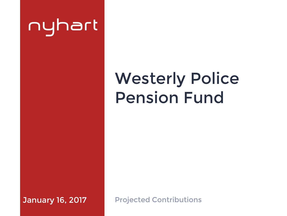# nyhart

## Westerly Police Pension Fund

January 16, 2017

Projected Contributions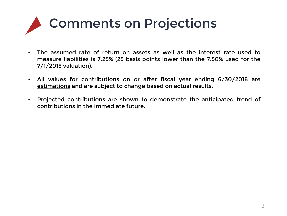# Comments on Projections

- The assumed rate of return on assets as well as the interest rate used to measure liabilities is 7.25% (25 basis points lower than the 7.50% used for the 7/1/2015 valuation).
- All values for contributions on or after fiscal year ending 6/30/2018 are estimations and are subject to change based on actual results.
- Projected contributions are shown to demonstrate the anticipated trend of contributions in the immediate future.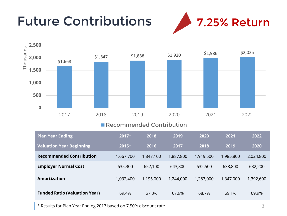### Future Contributions 27.25% Return





#### **Recommended Contribution**

| <b>Plan Year Ending</b>              | $2017*$   | 2018      | 2019      | 2020      | 2021      | 2022      |
|--------------------------------------|-----------|-----------|-----------|-----------|-----------|-----------|
| <b>Valuation Year Beginning</b>      | 2015*     | 2016      | 2017      | 2018      | 2019      | 2020      |
| <b>Recommended Contribution</b>      | 1,667,700 | 1,847,100 | 1,887,800 | 1,919,500 | 1,985,800 | 2,024,800 |
| <b>Employer Normal Cost</b>          | 635,300   | 652,100   | 643,800   | 632,500   | 638,800   | 632,200   |
| Amortization                         | 1,032,400 | 1,195,000 | 1,244,000 | 1,287,000 | 1,347,000 | 1,392,600 |
| <b>Funded Ratio (Valuation Year)</b> | 69.4%     | 67.3%     | 67.9%     | 68.7%     | 69.1%     | 69.9%     |

\* Results for Plan Year Ending 2017 based on 7.50% discount rate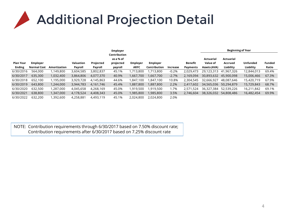

|                  |                    |              |           | <b>Employer</b> |                                        |                 | <b>Beginning of Year</b> |          |           |                       |                             |            |               |
|------------------|--------------------|--------------|-----------|-----------------|----------------------------------------|-----------------|--------------------------|----------|-----------|-----------------------|-----------------------------|------------|---------------|
| <b>Plan Year</b> | <b>Employer</b>    |              | Valuation | Projected       | Contribution<br>as a % of<br>projected | <b>Employer</b> | <b>Employer</b>          |          | Benefit   | Actuarial<br>Value of | <b>Actuarial</b><br>Accrued | Unfunded   | <b>Funded</b> |
| <b>Ending</b>    | <b>Normal Cost</b> | Amortization | Payroll   | Payroll         | payroll                                | <b>ARFC</b>     | Contribution             | Increase | Payments  | <b>Assets (AVA)</b>   | Liability                   | Liability  | Ratio         |
| 6/30/2016        | 564,000            | ,149,800     | 3,604,585 | 3,802,837       | 45.1%                                  | ,713,800        | ,713,800                 | $-0.2%$  | 2,029,473 | 29,123,313            | 41.967.326                  | 12,844,013 | 69.4%         |
| 6/30/2017        | 635,300            | 1,032,400    | 3,864,806 | 4,077,370       | 40.9%                                  | 1,667,700       | 1,667,700                | $-2.7%$  | 2,169,094 | 30,893,632            | 45,900,098                  | 15,006,466 | 67.3%         |
| 6/30/2018        | 652,100            | 1,195,000    | 3,929,728 | 4,145,863       | 44.6%                                  | 847,100.        | 1,847,100                | 10.8%    | 2,304,545 | 32,666,927            | 48.087.646                  | 15,420,719 | 67.9%         |
| 6/30/2019        | 643,800            | 1,244,000    | 3,944,783 | 4,161,746       | 45.4%                                  | 1,887,800       | 1,887,800                | 2.2%     | 2,417,602 | 34,565,036            | 50,294,879                  | 15,729,843 | 68.7%         |
| 6/30/2020        | 632,500            | ,287,000     | 4,045,658 | 4,268,169       | 45.0%                                  | 1,919,500       | 1,919,500                | 1.7%     | 2.571.524 | 36,327,384            | 52,539,226                  | 16,211,842 | 69.1%         |
| 6/30/2021        | 638,800            | .347,000     | 4,178,524 | 4,408,343       | 45.0%                                  | 1,985,800       | 1,985,800                | 3.5%     | 2,746,604 | 38,326,032            | 54,808,486                  | 16,482,454 | 69.9%         |
| 6/30/2022        | 632.200            | ,392,600     | 4,258,881 | 4,493,119       | 45.1%                                  | 2,024,800       | 2.024.800                | 2.0%     |           |                       |                             |            |               |

NOTE: Contribution requirements through 6/30/2017 based on 7.50% discount rate; Contribution requirements after 6/30/2017 based on 7.25% discount rate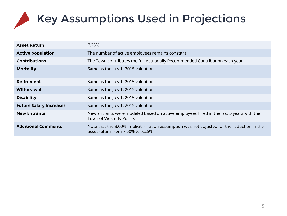## Key Assumptions Used in Projections

| <b>Asset Return</b>            | 7.25%                                                                                                                           |
|--------------------------------|---------------------------------------------------------------------------------------------------------------------------------|
| <b>Active population</b>       | The number of active employees remains constant                                                                                 |
| <b>Contributions</b>           | The Town contributes the full Actuarially Recommended Contribution each year.                                                   |
| <b>Mortality</b>               | Same as the July 1, 2015 valuation                                                                                              |
| <b>Retirement</b>              | Same as the July 1, 2015 valuation                                                                                              |
| Withdrawal                     | Same as the July 1, 2015 valuation                                                                                              |
| <b>Disability</b>              | Same as the July 1, 2015 valuation                                                                                              |
| <b>Future Salary Increases</b> | Same as the July 1, 2015 valuation.                                                                                             |
| <b>New Entrants</b>            | New entrants were modeled based on active employees hired in the last 5 years with the<br>Town of Westerly Police.              |
| <b>Additional Comments</b>     | Note that the 3.00% implicit inflation assumption was not adjusted for the reduction in the<br>asset return from 7.50% to 7.25% |